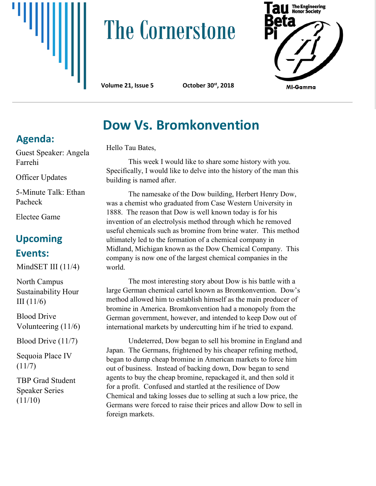

# **The Cornerstone**





# **Dow Vs. Bromkonvention**

Hello Tau Bates,

This week I would like to share some history with you. Specifically, I would like to delve into the history of the man this building is named after.

The namesake of the Dow building, Herbert Henry Dow, was a chemist who graduated from Case Western University in 1888. The reason that Dow is well known today is for his invention of an electrolysis method through which he removed useful chemicals such as bromine from brine water. This method ultimately led to the formation of a chemical company in Midland, Michigan known as the Dow Chemical Company. This company is now one of the largest chemical companies in the world.

The most interesting story about Dow is his battle with a large German chemical cartel known as Bromkonvention. Dow's method allowed him to establish himself as the main producer of bromine in America. Bromkonvention had a monopoly from the German government, however, and intended to keep Dow out of international markets by undercutting him if he tried to expand.

Undeterred, Dow began to sell his bromine in England and Japan. The Germans, frightened by his cheaper refining method, began to dump cheap bromine in American markets to force him out of business. Instead of backing down, Dow began to send agents to buy the cheap bromine, repackaged it, and then sold it for a profit. Confused and startled at the resilience of Dow Chemical and taking losses due to selling at such a low price, the Germans were forced to raise their prices and allow Dow to sell in foreign markets.

## **Agenda:**

Guest Speaker: Angela Farrehi

Officer Updates

5-Minute Talk: Ethan Pacheck

Electee Game

### **Upcoming Events:**

MindSET III (11/4)

North Campus Sustainability Hour III $(11/6)$ 

Blood Drive Volunteering (11/6)

Blood Drive (11/7)

Sequoia Place IV  $(11/7)$ 

TBP Grad Student Speaker Series  $(11/10)$